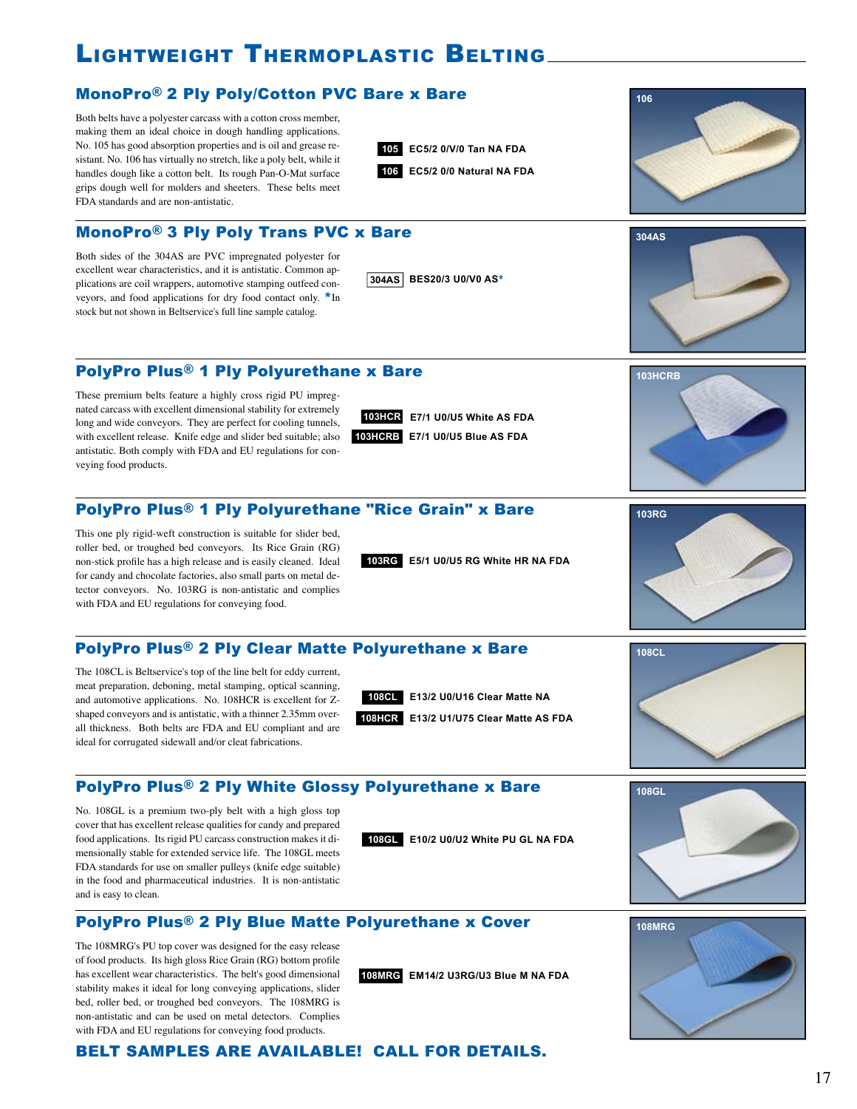## lighTWeighT TherMoplasTic BelTing

#### MonoPro® 2 Ply Poly/Cotton PVC Bare x Bare

Both belts have a polyester carcass with a cotton cross member, making them an ideal choice in dough handling applications. No. 105 has good absorption properties and is oil and grease resistant. No. 106 has virtually no stretch, like a poly belt, while it handles dough like a cotton belt. Its rough Pan-O-Mat surface grips dough well for molders and sheeters. These belts meet FDA standards and are non-antistatic.

**105 EC5/2 0/V/0 Tan NA FDA 106 EC5/2 0/0 Natural NA FDA**

**304AS BES20/3 U0/V0 AS**\*

MonoPro® 3 Ply Poly Trans PVC x Bare

Both sides of the 304AS are PVC impregnated polyester for excellent wear characteristics, and it is antistatic. Common applications are coil wrappers, automotive stamping outfeed conveyors, and food applications for dry food contact only. \*In stock but not shown in Beltservice's full line sample catalog.

PolyPro Plus® 1 Ply Polyurethane x Bare

These premium belts feature a highly cross rigid PU impregnated carcass with excellent dimensional stability for extremely long and wide conveyors. They are perfect for cooling tunnels, with excellent release. Knife edge and slider bed suitable; also antistatic. Both comply with FDA and EU regulations for conveying food products.

**103HCR E7/1 U0/U5 White AS FDA 103HCRB E7/1 U0/U5 Blue AS FDA**

PolyPro Plus® 1 Ply Polyurethane "Rice Grain" x Bare

This one ply rigid-weft construction is suitable for slider bed, roller bed, or troughed bed conveyors. Its Rice Grain (RG) non-stick profile has a high release and is easily cleaned. Ideal for candy and chocolate factories, also small parts on metal detector conveyors. No. 103RG is non-antistatic and complies with FDA and EU regulations for conveying food.

**103RG E5/1 U0/U5 RG White HR NA FDA**

#### PolyPro Plus® 2 Ply Clear Matte Polyurethane x Bare

The 108CL is Beltservice's top of the line belt for eddy current, meat preparation, deboning, metal stamping, optical scanning, and automotive applications. No. 108HCR is excellent for Zshaped conveyors and is antistatic, with a thinner 2.35mm overall thickness. Both belts are FDA and EU compliant and are ideal for corrugated sidewall and/or cleat fabrications.

No. 108GL is a premium two-ply belt with a high gloss top cover that has excellent release qualities for candy and prepared food applications. Its rigid PU carcass construction makes it dimensionally stable for extended service life. The 108GL meets FDA standards for use on smaller pulleys (knife edge suitable) in the food and pharmaceutical industries. It is non-antistatic

and is easy to clean.

PolyPro Plus® 2 Ply White Glossy Polyurethane x Bare

**108GL E10/2 U0/U2 White PU GL NA FDA**

PolyPro Plus® 2 Ply Blue Matte Polyurethane x Cover

The 108MRG's PU top cover was designed for the easy release of food products. Its high gloss Rice Grain (RG) bottom profile has excellent wear characteristics. The belt's good dimensional stability makes it ideal for long conveying applications, slider bed, roller bed, or troughed bed conveyors. The 108MRG is non-antistatic and can be used on metal detectors. Complies with FDA and EU regulations for conveying food products.

#### BELT SAMPLES ARE AVAILABLE! CALL FOR DETAILS.



**108GL**







**106**

**108CL E13/2 U0/U16 Clear Matte NA**

**108HCR E13/2 U1/U75 Clear Matte AS FDA**

**108MRG EM14/2 U3RG/U3 Blue M NA FDA**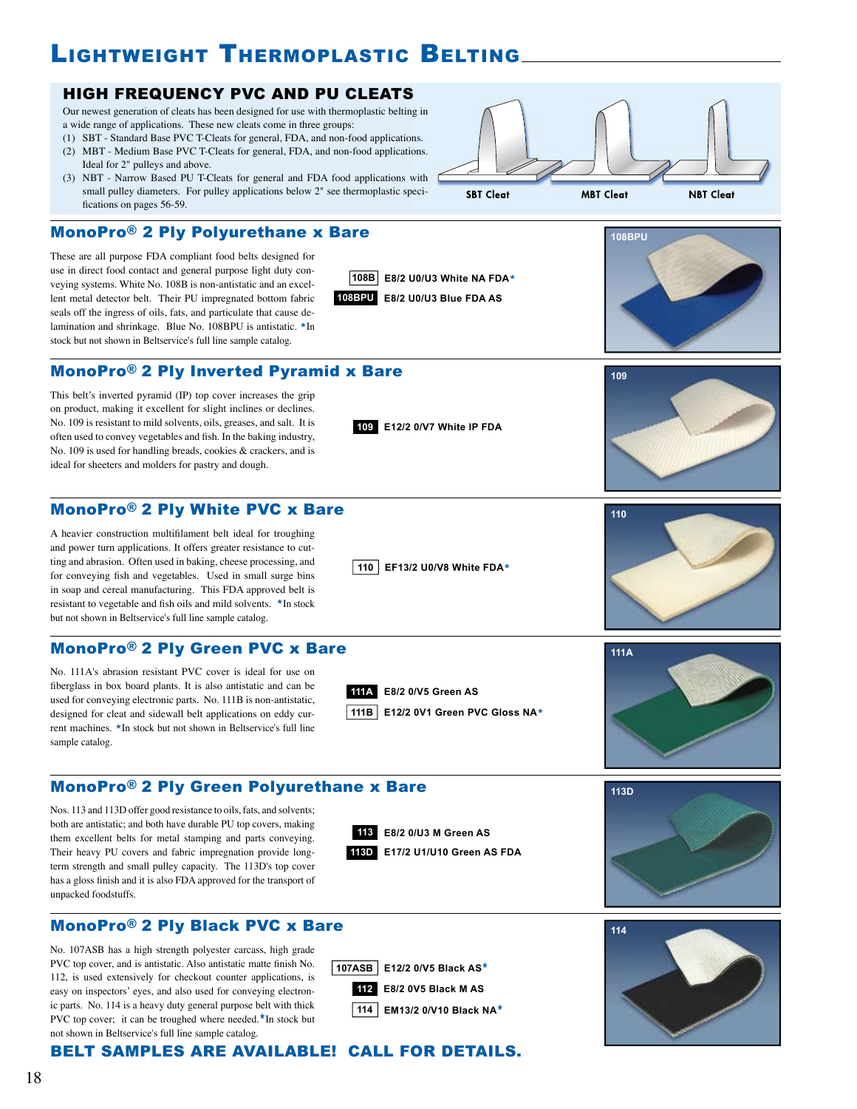## LIGHTWEIGHT THERMOPLASTIC BELTING

#### HIGH FREQUENCY PVC AND PU CLEATS

Our newest generation of cleats has been designed for use with thermoplastic belting in a wide range of applications. These new cleats come in three groups:

- (1) SBT Standard Base PVC T-Cleats for general, FDA, and non-food applications.
- (2) MBT Medium Base PVC T-Cleats for general, FDA, and non-food applications. Ideal for 2" pulleys and above.
- (3) NBT Narrow Based PU T-Cleats for general and FDA food applications with small pulley diameters. For pulley applications below 2" see thermoplastic specifications on pages 56-59.

#### MonoPro® 2 Ply Polyurethane x Bare

These are all purpose FDA compliant food belts designed for use in direct food contact and general purpose light duty conveying systems. White No. 108B is non-antistatic and an excellent metal detector belt. Their PU impregnated bottom fabric seals off the ingress of oils, fats, and particulate that cause delamination and shrinkage. Blue No. 108BPU is antistatic. \*In stock but not shown in Beltservice's full line sample catalog.

#### MonoPro® 2 Ply Inverted Pyramid x Bare

This belt's inverted pyramid (IP) top cover increases the grip on product, making it excellent for slight inclines or declines. No. 109 is resistant to mild solvents, oils, greases, and salt. It is often used to convey vegetables and fish. In the baking industry, No. 109 is used for handling breads, cookies & crackers, and is ideal for sheeters and molders for pastry and dough.

#### MonoPro® 2 Ply White PVC x Bare

A heavier construction multifilament belt ideal for troughing and power turn applications. It offers greater resistance to cutting and abrasion. Often used in baking, cheese processing, and for conveying fish and vegetables. Used in small surge bins in soap and cereal manufacturing. This FDA approved belt is resistant to vegetable and fish oils and mild solvents. \*In stock but not shown in Beltservice's full line sample catalog.

#### MonoPro® 2 Ply Green PVC x Bare

No. 111A's abrasion resistant PVC cover is ideal for use on fiberglass in box board plants. It is also antistatic and can be used for conveying electronic parts. No. 111B is non-antistatic, designed for cleat and sidewall belt applications on eddy current machines. \*In stock but not shown in Beltservice's full line sample catalog.



Nos. 113 and 113D offer good resistance to oils, fats, and solvents; both are antistatic; and both have durable PU top covers, making them excellent belts for metal stamping and parts conveying. Their heavy PU covers and fabric impregnation provide longterm strength and small pulley capacity. The 113D's top cover has a gloss finish and it is also FDA approved for the transport of unpacked foodstuffs.



**E8/2 0/V5 Green AS 111A**

**110 EF13/2 U0/V8 White FDA**\*

**109 E12/2 0/V7 White IP FDA**

**111B E12/2 0V1 Green PVC Gloss NA**\*

**108BPU E8/2 U0/U3 Blue FDA AS**













No. 107ASB has a high strength polyester carcass, high grade PVC top cover, and is antistatic. Also antistatic matte finish No. 112, is used extensively for checkout counter applications, is easy on inspectors' eyes, and also used for conveying electronic parts. No. 114 is a heavy duty general purpose belt with thick PVC top cover; it can be troughed where needed.\*In stock but not shown in Beltservice's full line sample catalog.

**107ASB E12/2 0/V5 Black AS**\* **112 E8/2 0V5 Black M AS**

**114 EM13/2 0/V10 Black NA**\*



#### BELT SAMPLES ARE AVAILABLE! CALL FOR DETAILS.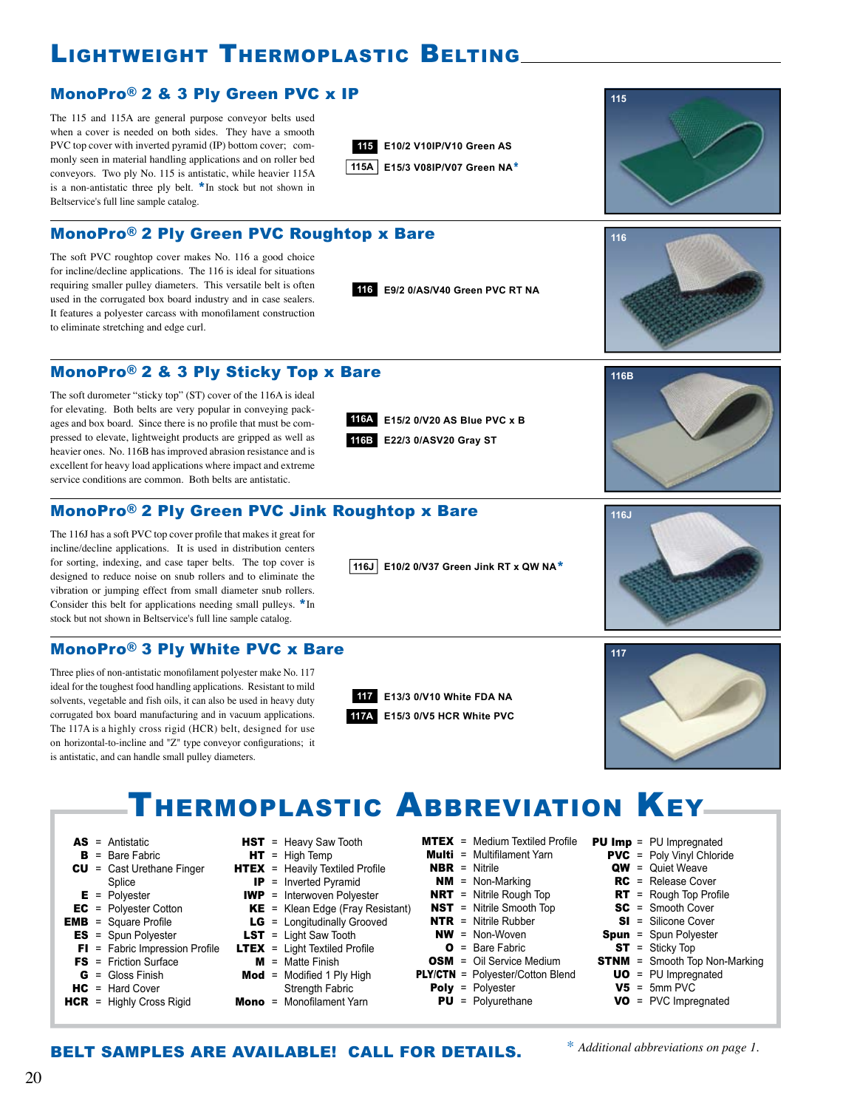## lighTWeighT TherMoplasTic BelTing

#### MonoPro® 2 & 3 Ply Green PVC x IP

The 115 and 115A are general purpose conveyor belts used when a cover is needed on both sides. They have a smooth PVC top cover with inverted pyramid (IP) bottom cover; commonly seen in material handling applications and on roller bed conveyors. Two ply No. 115 is antistatic, while heavier 115A is a non-antistatic three ply belt.  $*$ In stock but not shown in Beltservice's full line sample catalog.

The soft PVC roughtop cover makes No. 116 a good choice for incline/decline applications. The 116 is ideal for situations requiring smaller pulley diameters. This versatile belt is often used in the corrugated box board industry and in case sealers. It features a polyester carcass with monofilament construction

to eliminate stretching and edge curl.







**116B**

**116J**

#### MonoPro® 2 & 3 Ply Sticky Top x Bare

MonoPro® 2 Ply Green PVC Roughtop x Bare

The soft durometer "sticky top" (ST) cover of the 116A is ideal for elevating. Both belts are very popular in conveying packages and box board. Since there is no profile that must be compressed to elevate, lightweight products are gripped as well as heavier ones. No. 116B has improved abrasion resistance and is excellent for heavy load applications where impact and extreme service conditions are common. Both belts are antistatic.

**E15/2 0/V20 AS Blue PVC x B 116A E22/3 0/ASV20 Gray ST 116B**

**116 E9/2 0/AS/V40 Green PVC RT NA**

#### MonoPro® 2 Ply Green PVC Jink Roughtop x Bare

The 116J has a soft PVC top cover profile that makes it great for incline/decline applications. It is used in distribution centers for sorting, indexing, and case taper belts. The top cover is designed to reduce noise on snub rollers and to eliminate the vibration or jumping effect from small diameter snub rollers. Consider this belt for applications needing small pulleys. \*In stock but not shown in Beltservice's full line sample catalog.

#### MonoPro® 3 Ply White PVC x Bare

Three plies of non-antistatic monofilament polyester make No. 117 ideal for the toughest food handling applications. Resistant to mild solvents, vegetable and fish oils, it can also be used in heavy duty corrugated box board manufacturing and in vacuum applications. The 117A is a highly cross rigid (HCR) belt, designed for use on horizontal-to-incline and "Z" type conveyor configurations; it is antistatic, and can handle small pulley diameters.



**116J E10/2 0/V37 Green Jink RT x QW NA**\*

## **117**

## THERMOPLASTIC ABBREVIATION KEY

- AS = Antistatic
- $B =$  Bare Fabric
- CU = Cast Urethane Finger
	- Splice
- $E$  = Polyester EC = Polyester Cotton
- $EMB = Square Profile$
- ES = Spun Polyester
- $FI = Fabric$  Impression Profile
- **FS** = Friction Surface
- $G =$  Gloss Finish
- $HC = Hard Cover$
- **HCR** = Highly Cross Rigid
- **HST** = Heavy Saw Tooth
- $HT = High Temp$
- $HTEX =$  Heavily Textiled Profile
- IP = Inverted Pyramid IWP = Interwoven Polyester
- $KE$  = Klean Edge (Fray Resistant)
- LG = Longitudinally Grooved
- **LST** = Light Saw Tooth
- **LTEX** = Light Textiled Profile
	- $M =$  Matte Finish
- $\text{Mod} = \text{Modified} 1 \text{ Ply High}$ Strength Fabric
- $Mono = Monofilament Yarn$
- $MTEX = Median Textiled Profile$
- **Multi** = Multifilament Yarn
- NBR = Nitrile
- $NM = Non-Markina$
- **NRT** = Nitrile Rough Top
- **NST** = Nitrile Smooth Top
- **NTR** = Nitrile Rubber
- $NW = Non-Woven$
- $\bullet$  = Bare Fabric **OSM** = Oil Service Medium
	-
- PLY/CTN = Polyester/Cotton Blend
	- Poly = Polyester
- -
	- PU = Polyurethane
- **PU Imp** = PU Impregnated PVC = Poly Vinyl Chloride
	- QW = Quiet Weave
	- RC = Release Cover
	- $RT$  = Rough Top Profile
	- SC = Smooth Cover
	- SI = Silicone Cover
	- Spun = Spun Polyester
	- ST = Sticky Top
- **STNM** = Smooth Top Non-Marking
	- UO = PU Impregnated
	- $V5 = 5$ mm PVC
	- VO = PVC Impregnated

20

**117A E15/3 0/V5 HCR White PVC** 

**117 E13/3 0/V10 White FDA NA**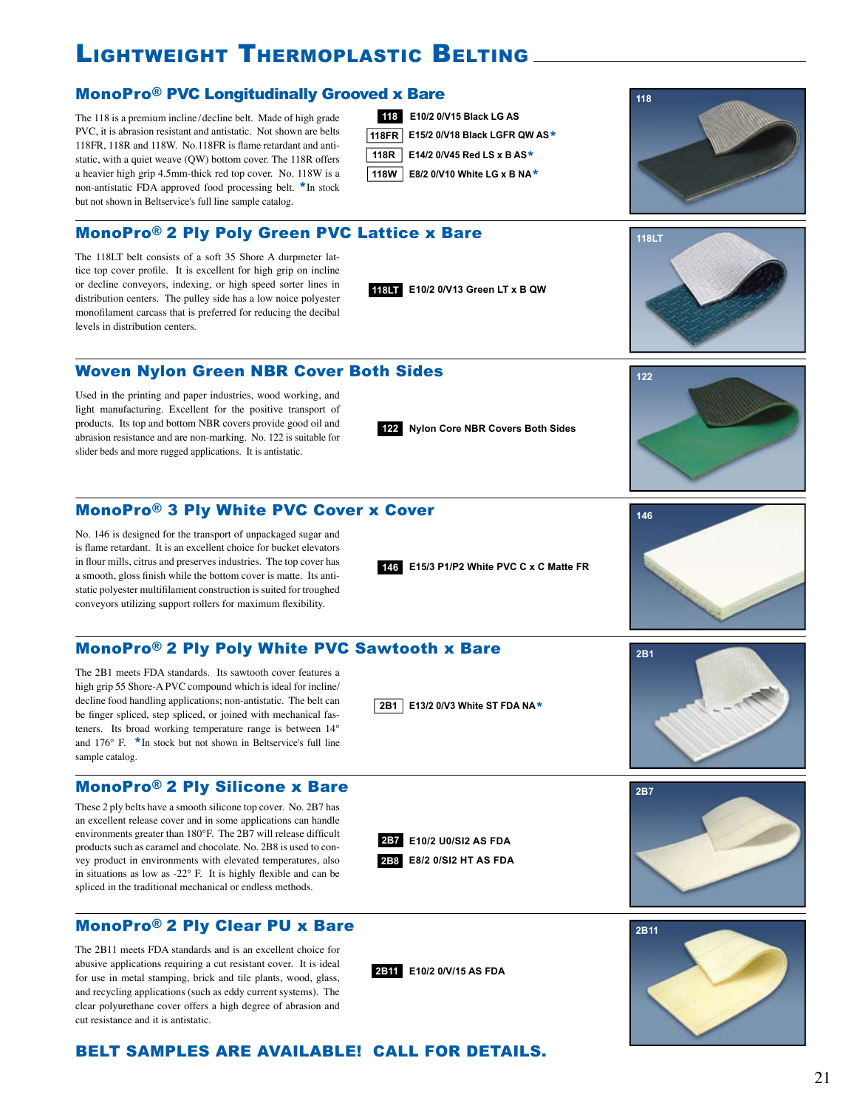## lighTWeighT TherMoplasTic BelTing

#### MonoPro® PVC Longitudinally Grooved x Bare

The 118 is a premium incline /decline belt. Made of high grade PVC, it is abrasion resistant and antistatic. Not shown are belts 118FR, 118R and 118W. No.118FR is flame retardant and antistatic, with a quiet weave (QW) bottom cover. The 118R offers a heavier high grip 4.5mm-thick red top cover. No. 118W is a non-antistatic FDA approved food processing belt. \*In stock but not shown in Beltservice's full line sample catalog.



**118LT E10/2 0/V13 Green LT x B QW**

#### MonoPro® 2 Ply Poly Green PVC Lattice x Bare

The 118LT belt consists of a soft 35 Shore A durpmeter lattice top cover profile. It is excellent for high grip on incline or decline conveyors, indexing, or high speed sorter lines in distribution centers. The pulley side has a low noice polyester monofilament carcass that is preferred for reducing the decibal levels in distribution centers.

#### Woven Nylon Green NBR Cover Both Sides

Used in the printing and paper industries, wood working, and light manufacturing. Excellent for the positive transport of products. Its top and bottom NBR covers provide good oil and abrasion resistance and are non-marking. No. 122 is suitable for slider beds and more rugged applications. It is antistatic.

#### MonoPro® 3 Ply White PVC Cover x Cover

No. 146 is designed for the transport of unpackaged sugar and is flame retardant. It is an excellent choice for bucket elevators in flour mills, citrus and preserves industries. The top cover has a smooth, gloss finish while the bottom cover is matte. Its antistatic polyester multifilament construction is suited for troughed conveyors utilizing support rollers for maximum flexibility.

#### MonoPro® 2 Ply Poly White PVC Sawtooth x Bare

The 2B1 meets FDA standards. Its sawtooth cover features a high grip 55 Shore-A PVC compound which is ideal for incline/ decline food handling applications; non-antistatic. The belt can be finger spliced, step spliced, or joined with mechanical fasteners. Its broad working temperature range is between 14° and 176° F. \*In stock but not shown in Beltservice's full line sample catalog.

#### MonoPro® 2 Ply Silicone x Bare

These 2 ply belts have a smooth silicone top cover. No. 2B7 has an excellent release cover and in some applications can handle environments greater than 180°F. The 2B7 will release difficult products such as caramel and chocolate. No. 2B8 is used to convey product in environments with elevated temperatures, also in situations as low as -22 $\degree$  F. It is highly flexible and can be spliced in the traditional mechanical or endless methods.

#### MonoPro® 2 Ply Clear PU x Bare

The 2B11 meets FDA standards and is an excellent choice for abusive applications requiring a cut resistant cover. It is ideal for use in metal stamping, brick and tile plants, wood, glass, and recycling applications (such as eddy current systems). The clear polyurethane cover offers a high degree of abrasion and cut resistance and it is antistatic.

**122 Nylon Core NBR Covers Both Sides**

**146 E15/3 P1/P2 White PVC C x C Matte FR**



**2B1 E13/2 0/V3 White ST FDA NA**\*

**2B7 E10/2 U0/SI2 AS FDA**

**2B8 E8/2 0/SI2 HT AS FDA**

**2B11 E10/2 0/V/15 AS FDA**







# **118**



**122**